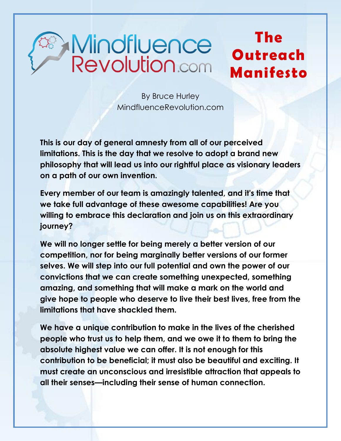## **Mindfluence**<br>Revolution.com

## **The Outreach Manifesto**

By Bruce Hurley MindfluenceRevolution.com

**This is our day of general amnesty from all of our perceived limitations. This is the day that we resolve to adopt a brand new philosophy that will lead us into our rightful place as visionary leaders on a path of our own invention.** 

**Every member of our team is amazingly talented, and it's time that we take full advantage of these awesome capabilities! Are you willing to embrace this declaration and join us on this extraordinary journey?**

**We will no longer settle for being merely a better version of our competition, nor for being marginally better versions of our former selves. We will step into our full potential and own the power of our convictions that we can create something unexpected, something amazing, and something that will make a mark on the world and give hope to people who deserve to live their best lives, free from the limitations that have shackled them.** 

**We have a unique contribution to make in the lives of the cherished people who trust us to help them, and we owe it to them to bring the absolute highest value we can offer. It is not enough for this contribution to be beneficial; it must also be beautiful and exciting. It must create an unconscious and irresistible attraction that appeals to all their senses—including their sense of human connection.**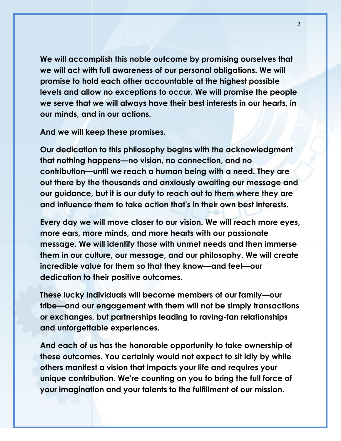**We will accomplish this noble outcome by promising ourselves that we will act with full awareness of our personal obligations. We will promise to hold each other accountable at the highest possible levels and allow no exceptions to occur. We will promise the people we serve that we will always have their best interests in our hearts, in our minds, and in our actions.** 

**And we will keep these promises.** 

**Our dedication to this philosophy begins with the acknowledgment that nothing happens—no vision, no connection, and no contribution—until we reach a human being with a need. They are out there by the thousands and anxiously awaiting our message and our guidance, but it is our duty to reach out to them where they are and influence them to take action that's in their own best interests.** 

**Every day we will move closer to our vision. We will reach more eyes, more ears, more minds, and more hearts with our passionate message. We will identify those with unmet needs and then immerse them in our culture, our message, and our philosophy. We will create incredible value for them so that they know—and feel—our dedication to their positive outcomes.** 

**These lucky individuals will become members of our family—our tribe—and our engagement with them will not be simply transactions or exchanges, but partnerships leading to raving-fan relationships and unforgettable experiences.** 

**And each of us has the honorable opportunity to take ownership of these outcomes. You certainly would not expect to sit idly by while others manifest a vision that impacts your life and requires your unique contribution. We're counting on you to bring the full force of your imagination and your talents to the fulfillment of our mission.**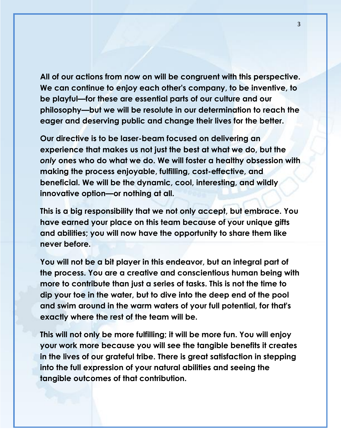**All of our actions from now on will be congruent with this perspective. We can continue to enjoy each other's company, to be inventive, to be playful—for these are essential parts of our culture and our philosophy—but we will be resolute in our determination to reach the eager and deserving public and change their lives for the better.** 

**Our directive is to be laser-beam focused on delivering an experience that makes us not just the best at what we do, but the**  *only* **ones who do what we do. We will foster a healthy obsession with making the process enjoyable, fulfilling, cost-effective, and beneficial. We will be the dynamic, cool, interesting, and wildly innovative option—or nothing at all.** 

**This is a big responsibility that we not only accept, but embrace. You have earned your place on this team because of your unique gifts and abilities; you will now have the opportunity to share them like never before.** 

**You will not be a bit player in this endeavor, but an integral part of the process. You are a creative and conscientious human being with more to contribute than just a series of tasks. This is not the time to dip your toe in the water, but to dive into the deep end of the pool and swim around in the warm waters of your full potential, for that's exactly where the rest of the team will be.** 

**This will not only be more fulfilling; it will be more fun. You will enjoy your work more because you will see the tangible benefits it creates in the lives of our grateful tribe. There is great satisfaction in stepping into the full expression of your natural abilities and seeing the tangible outcomes of that contribution.**